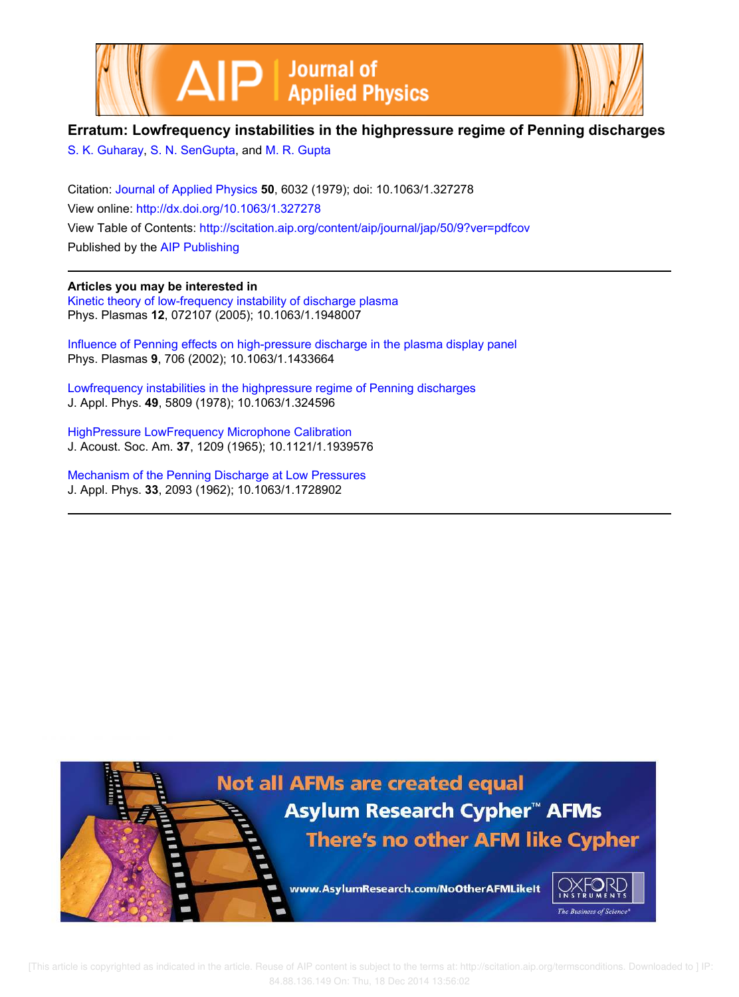



## **Erratum: Lowfrequency instabilities in the highpressure regime of Penning discharges**

S. K. Guharay, S. N. SenGupta, and M. R. Gupta

Citation: Journal of Applied Physics **50**, 6032 (1979); doi: 10.1063/1.327278 View online: http://dx.doi.org/10.1063/1.327278 View Table of Contents: http://scitation.aip.org/content/aip/journal/jap/50/9?ver=pdfcov Published by the AIP Publishing

## **Articles you may be interested in**

Kinetic theory of low-frequency instability of discharge plasma Phys. Plasmas **12**, 072107 (2005); 10.1063/1.1948007

Influence of Penning effects on high-pressure discharge in the plasma display panel Phys. Plasmas **9**, 706 (2002); 10.1063/1.1433664

Lowfrequency instabilities in the highpressure regime of Penning discharges J. Appl. Phys. **49**, 5809 (1978); 10.1063/1.324596

HighPressure LowFrequency Microphone Calibration J. Acoust. Soc. Am. **37**, 1209 (1965); 10.1121/1.1939576

Mechanism of the Penning Discharge at Low Pressures J. Appl. Phys. **33**, 2093 (1962); 10.1063/1.1728902